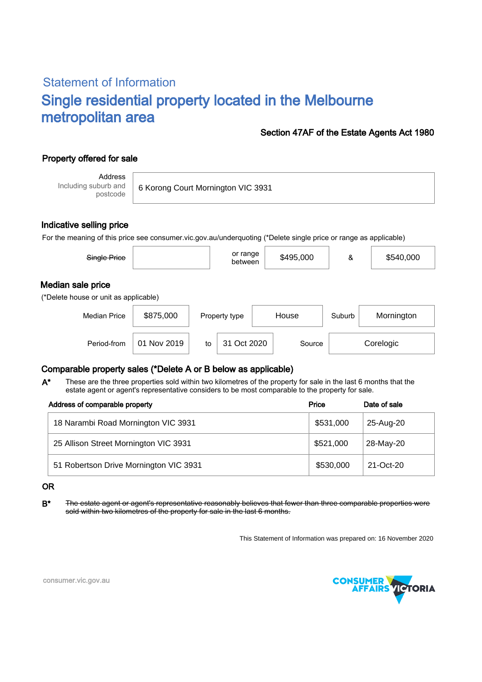# Statement of Information Single residential property located in the Melbourne metropolitan area

### Section 47AF of the Estate Agents Act 1980

## Property offered for sale

Address Including suburb and postcode

6 Korong Court Mornington VIC 3931

#### Indicative selling price

For the meaning of this price see consumer.vic.gov.au/underquoting (\*Delete single price or range as applicable)

| Single Price                                               |           | or range<br>between | \$495,000 | &      | \$540,000  |  |  |  |
|------------------------------------------------------------|-----------|---------------------|-----------|--------|------------|--|--|--|
| Median sale price<br>(*Delete house or unit as applicable) |           |                     |           |        |            |  |  |  |
| <b>Median Price</b>                                        | \$875,000 | Property type       | House     | Suburb | Mornington |  |  |  |
|                                                            |           |                     |           |        |            |  |  |  |

Period-from | 01 Nov 2019 | to | 31 Oct 2020 | Source | Corelogic

### Comparable property sales (\*Delete A or B below as applicable)

These are the three properties sold within two kilometres of the property for sale in the last 6 months that the estate agent or agent's representative considers to be most comparable to the property for sale. A\*

| Address of comparable property         | Price     | Date of sale |  |
|----------------------------------------|-----------|--------------|--|
| 18 Narambi Road Mornington VIC 3931    | \$531,000 | 25-Aug-20    |  |
| 25 Allison Street Mornington VIC 3931  | \$521,000 | 28-May-20    |  |
| 51 Robertson Drive Mornington VIC 3931 | \$530,000 | 21-Oct-20    |  |

#### OR

B<sup>\*</sup> The estate agent or agent's representative reasonably believes that fewer than three comparable properties were sold within two kilometres of the property for sale in the last 6 months.

This Statement of Information was prepared on: 16 November 2020



consumer.vic.gov.au